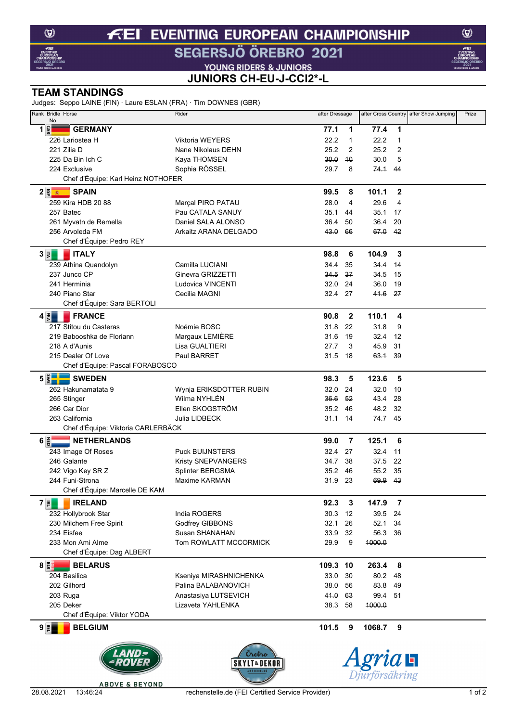## **EVENTING EUROPEAN CHAMPIONSHIP**  $f(E)$

SEGERSJÖ ÖREBRO 2021

**VOUNG RIDERS & JUNIORS<br>JUNIORS CH-EU-J-CCI2\*-L** 

## **TEAM STANDINGS**

Judges: Seppo LAINE (FIN) · Laure ESLAN (FRA) · Tim DOWNES (GBR)

| Judges. Seppo LAINE (FIN) - Laure ESEAN (FIA) - TIIII DOWNES (GDN)<br>Rank Bridle Horse<br>No. | Rider                   | after Dressage |                |                      |                | after Cross Country after Show Jumping | Prize |
|------------------------------------------------------------------------------------------------|-------------------------|----------------|----------------|----------------------|----------------|----------------------------------------|-------|
| $1\frac{6}{5}$<br><b>GERMANY</b>                                                               |                         | 77.1           | 1              | 77.4                 | 1              |                                        |       |
| 226 Lariostea H                                                                                | <b>Viktoria WEYERS</b>  | 22.2           | $\mathbf{1}$   | 22.2                 | $\mathbf{1}$   |                                        |       |
| 221 Zilia D                                                                                    | Nane Nikolaus DEHN      | 25.2           | $\overline{2}$ | 25.2                 | $\overline{2}$ |                                        |       |
| 225 Da Bin Ich C                                                                               | Kaya THOMSEN            | 30.0           | 40             | 30.0                 | 5              |                                        |       |
| 224 Exclusive                                                                                  | Sophia RÖSSEL           | 29.7           | 8              | 74.1 44              |                |                                        |       |
| Chef d'Équipe: Karl Heinz NOTHOFER                                                             |                         |                |                |                      |                |                                        |       |
| $2$ ଞ୍ଜି ଭାବର<br><b>SPAIN</b>                                                                  |                         | 99.5           | 8              | 101.1                | $\mathbf{2}$   |                                        |       |
| 259 Kira HDB 20 88                                                                             | Marçal PIRO PATAU       | 28.0           | 4              | 29.6                 | 4              |                                        |       |
| 257 Batec                                                                                      | Pau CATALA SANUY        | 35.1           | 44             | 35.1                 | 17             |                                        |       |
| 261 Myvatn de Remella                                                                          | Daniel SALA ALONSO      | 36.4           | 50             | 36.4                 | 20             |                                        |       |
| 256 Arvoleda FM                                                                                | Arkaitz ARANA DELGADO   | 43.0           | 66             | 67.0                 | - 42           |                                        |       |
| Chef d'Équipe: Pedro REY                                                                       |                         |                |                |                      |                |                                        |       |
| <b>ITALY</b><br>$3 \vert \bar{z} \vert$                                                        |                         | 98.8           | 6              | 104.9                | 3              |                                        |       |
| 239 Athina Quandolyn                                                                           | Camilla LUCIANI         | 34.4           | 35             | 34.4                 | 14             |                                        |       |
| 237 Junco CP                                                                                   | Ginevra GRIZZETTI       | 34.5           | 37             | 34.5                 | 15             |                                        |       |
| 241 Herminia                                                                                   | Ludovica VINCENTI       | 32.0           | 24             | 36.0                 | 19             |                                        |       |
| 240 Piano Star                                                                                 | Cecilia MAGNI           | 32.4 27        |                | 41.6 27              |                |                                        |       |
| Chef d'Équipe: Sara BERTOLI                                                                    |                         |                |                |                      |                |                                        |       |
| $4 \overline{5}$<br><b>FRANCE</b>                                                              |                         | 90.8           | $\mathbf{2}$   | 110.1                | 4              |                                        |       |
| 217 Stitou du Casteras                                                                         | Noémie BOSC             | 31.8           | 22             | 31.8                 | 9              |                                        |       |
| 219 Babooshka de Floriann                                                                      | Margaux LEMIÈRE         | 31.6           | 19             | 32.4                 | 12             |                                        |       |
| 218 A d'Aunis                                                                                  | Lisa GUALTIERI          | 27.7           | 3              | 45.9                 | 31             |                                        |       |
| 215 Dealer Of Love                                                                             | Paul BARRET             | 31.5           | 18             | 63.1 39              |                |                                        |       |
| Chef d'Équipe: Pascal FORABOSCO                                                                |                         |                |                |                      |                |                                        |       |
| $5\left \frac{8}{5}\right $<br><b>SWEDEN</b>                                                   |                         | 98.3           | 5              | 123.6                | 5              |                                        |       |
| 262 Hakunamatata 9                                                                             | Wynja ERIKSDOTTER RUBIN | 32.0           | 24             | 32.0                 | 10             |                                        |       |
| 265 Stinger                                                                                    | Wilma NYHLÉN            | 36.6           | 52             | 43.4                 | 28             |                                        |       |
| 266 Car Dior                                                                                   | Ellen SKOGSTRÖM         | 35.2           | 46             | 48.2                 | 32             |                                        |       |
| 263 California                                                                                 | Julia LIDBECK           | 31.1           | 14             | 74.7 45              |                |                                        |       |
| Chef d'Équipe: Viktoria CARLERBÄCK                                                             |                         |                |                |                      |                |                                        |       |
| $6\frac{2}{9}$<br>NETHERLANDS                                                                  |                         | 99.0           | $\overline{7}$ | 125.1                | 6              |                                        |       |
| 243 Image Of Roses                                                                             | <b>Puck BUIJNSTERS</b>  | 32.4           | 27             | 32.4                 | 11             |                                        |       |
| 246 Galante                                                                                    | Kristy SNEPVANGERS      | 34.7           | 38             | 37.5                 | 22             |                                        |       |
| 242 Vigo Key SR Z                                                                              | Splinter BERGSMA        | 35.2           | 46             | 55.2                 | 35             |                                        |       |
| 244 Funi-Strona                                                                                | Maxime KARMAN           | 31.9 23        |                | 69.9 43              |                |                                        |       |
| Chef d'Équipe: Marcelle DE KAM                                                                 |                         |                |                |                      |                |                                        |       |
| $7 {\bar{z}} $<br><b>IRELAND</b>                                                               |                         | 92.3           | $\mathbf{3}$   | 147.9                | $\overline{7}$ |                                        |       |
| 232 Hollybrook Star                                                                            | India ROGERS            | 30.3           | 12             | 39.5                 | 24             |                                        |       |
| 230 Milchem Free Spirit                                                                        | Godfrey GIBBONS         | 32.1           | 26             | 52.1                 | 34             |                                        |       |
| 234 Eisfee                                                                                     | Susan SHANAHAN          | 33.9           | 32             | 56.3                 | 36             |                                        |       |
| 233 Mon Ami Alme                                                                               | Tom ROWLATT MCCORMICK   | 29.9           | 9              | 4000.0               |                |                                        |       |
| Chef d'Équipe: Dag ALBERT                                                                      |                         |                |                |                      |                |                                        |       |
| $8\frac{m}{2}$<br><b>BELARUS</b>                                                               |                         | 109.3 10       |                | 263.4                | -8             |                                        |       |
| 204 Basilica                                                                                   | Kseniya MIRASHNICHENKA  | 33.0           | 30             | 80.2 48              |                |                                        |       |
| 202 Gilhord                                                                                    | Palina BALABANOVICH     | 38.0           | 56             | 83.8                 | 49             |                                        |       |
| 203 Ruga                                                                                       | Anastasiya LUTSEVICH    | 41.0           | 63             | 99.4                 | 51             |                                        |       |
| 205 Deker                                                                                      | Lizaveta YAHLENKA       | 38.3           | 58             | 4000.0               |                |                                        |       |
| Chef d'Équipe: Viktor YODA                                                                     |                         |                |                |                      |                |                                        |       |
| $9 \frac{m}{2}$<br><b>BELGIUM</b>                                                              |                         | 101.5          | 9              | 1068.7               | 9              |                                        |       |
|                                                                                                | Orebro<br>SKYLT&DEKO    |                |                | ria <b>H</b>         |                |                                        |       |
|                                                                                                |                         |                |                | <i>iurförsäkring</i> |                |                                        |       |



 $\circledcirc$